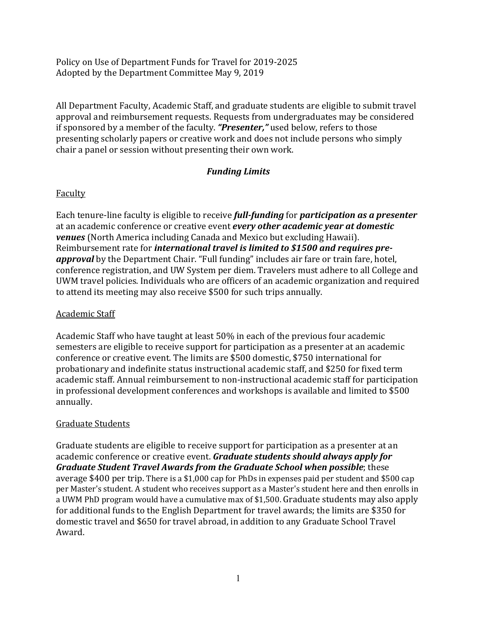Policy on Use of Department Funds for Travel for 2019-2025 Adopted by the Department Committee May 9, 2019

All Department Faculty, Academic Staff, and graduate students are eligible to submit travel approval and reimbursement requests. Requests from undergraduates may be considered if sponsored by a member of the faculty. *"Presenter,"* used below, refers to those presenting scholarly papers or creative work and does not include persons who simply chair a panel or session without presenting their own work.

# *Funding Limits*

### Faculty

Each tenure-line faculty is eligible to receive *full-funding* for *participation as a presenter* at an academic conference or creative event *every other academic year at domestic venues* (North America including Canada and Mexico but excluding Hawaii). Reimbursement rate for *international travel is limited to \$1500 and requires preapproval* by the Department Chair. "Full funding" includes air fare or train fare, hotel, conference registration, and UW System per diem. Travelers must adhere to all College and UWM travel policies. Individuals who are officers of an academic organization and required to attend its meeting may also receive \$500 for such trips annually.

### Academic Staff

Academic Staff who have taught at least 50% in each of the previous four academic semesters are eligible to receive support for participation as a presenter at an academic conference or creative event. The limits are \$500 domestic, \$750 international for probationary and indefinite status instructional academic staff, and \$250 for fixed term academic staff. Annual reimbursement to non-instructional academic staff for participation in professional development conferences and workshops is available and limited to \$500 annually.

## Graduate Students

Graduate students are eligible to receive support for participation as a presenter at an academic conference or creative event. *Graduate students should always apply for Graduate Student Travel Awards from the Graduate School when possible*; these average \$400 per trip. There is a \$1,000 cap for PhDs in expenses paid per student and \$500 cap per Master's student. A student who receives support as a Master's student here and then enrolls in a UWM PhD program would have a cumulative max of \$1,500. Graduate students may also apply for additional funds to the English Department for travel awards; the limits are \$350 for domestic travel and \$650 for travel abroad, in addition to any Graduate School Travel Award.